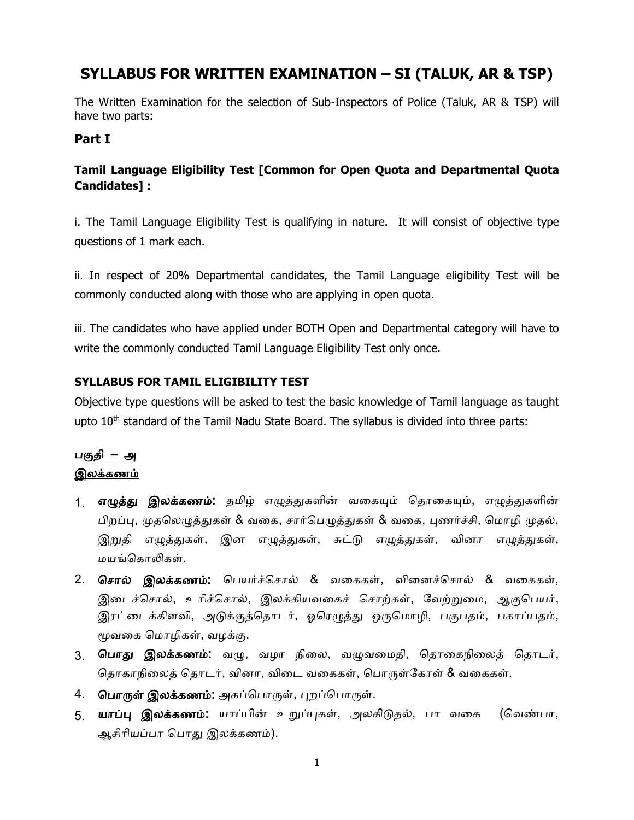# **SYLLABUS FOR WRITTEN EXAMINATION – SI (TALUK, AR & TSP)**

The Written Examination for the selection of Sub-Inspectors of Police (Taluk, AR & TSP) will have two parts:

#### **Part I**

### **Tamil Language Eligibility Test [Common for Open Quota and Departmental Quota Candidates] :**

i. The Tamil Language Eligibility Test is qualifying in nature. It will consist of objective type questions of 1 mark each.

ii. In respect of 20% Departmental candidates, the Tamil Language eligibility Test will be commonly conducted along with those who are applying in open quota.

iii. The candidates who have applied under BOTH Open and Departmental category will have to write the commonly conducted Tamil Language Eligibility Test only once.

#### **SYLLABUS FOR TAMIL ELIGIBILITY TEST**

Objective type questions will be asked to test the basic knowledge of Tamil language as taught upto  $10<sup>th</sup>$  standard of the Tamil Nadu State Board. The syllabus is divided into three parts:

## <u>பகுதி – அ</u> இலக்கணம்

- 1. **எழுத்து இலக்கணம்:** தமிழ் எழுத்துகளின் வகையும் தொகையும், எழுத்துகளின் பிறப்பு, முததலழுத்துகள் & வகக, சொர்தபழுத்துகள் & வகக, புணர்ச்சி, தமொழி முதல், இறுதி எழுத்துகள், இன எழுத்துகள், சுட்டு எழுத்துகள், வினொ எழுத்துகள், மயங்தகொலிகள்.
- 2. தசொல் இலக்கணம்: தபயர்ச்தசொல் & வகககள், விகனச்தசொல் & வகககள், இடைச்சொல், உரிச்சொல், இலக்கியவகைச் சொற்கள், வேற்றுமை, ஆகுபெயர், இரட்டைக்கிளவி, அடுக்குத்தொடர், ஓரெழுத்து ஒருமொழி, பகுபதம், பகாப்பதம், மூவகக தமொழிகள், வழக்கு.
- 3. **பொது இலக்கணம்:** வழு, வழா நிலை, வழுவமைதி, தொகைநிலைத் தொடர், தொகாநிலைத் தொடர், வினா, விடை வகைகள், பொருள்கோள் & வகைகள்.
- 4. தபொருள் இலக்கணம்: அகப்தபொருள், புறப்தபொருள்.
- 5. **யாப்பு இலக்கணம்:** யாப்பின் உறுப்புகள், அலகிடுதல், பா வகை (வெண்பா, ஆசிொியப்பொ தபொது இலக்கணம்).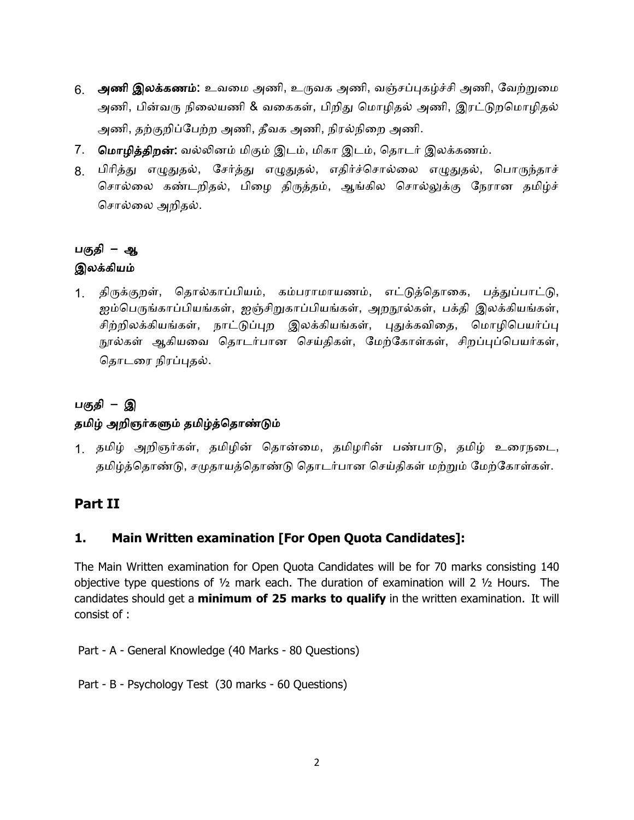- 6. அணி இலக்கணம்: உவகம அணி, உருவக அணி, வஞ்சப்புகழ்ச்சி அணி, வவற்றுகம அணி, பின்வரு நிகலயணி & வகககள், பிறிது தமொழிதல் அணி, இரட்டுறதமொழிதல் அணி, தற்குறிப்வபற்ற அணி, தீவக அணி, நிரல்நிகற அணி.
- 7. மொழித்திறன்: வல்லினம் மிகும் இடம், மிகா இடம், தொடர் இலக்கணம்.
- 8. பிொித்து எழுதுதல், வசர்த்து எழுதுதல், எதிர்ச்தசொல்கல எழுதுதல், தபொருந்தொச் தசொல்கல கண்ைறிதல், பிகழ திருத்தம், ஆங்கில தசொல்லுக்கு வநரொன தமிழ்ச் தசொல்கல அறிதல்.

### பகுதி – ஆ இலக்கியம்

1. திருக்குறள், ததொல்கொப்பியம், கம்பரொமொயணம், எட்டுத்ததொகக, பத்துப்பொட்டு, ஐம்தபருங்கொப்பியங்கள், ஐஞ்சிறுகொப்பியங்கள், அறநூல்கள், பக்தி இலக்கியங்கள், சிற்றிலக்கியங்கள், நொட்டுப்புற இலக்கியங்கள், புதுக்கவிகத, தமொழிதபயர்ப்பு நூல்கள் ஆகியவை தொடர்பான செய்திகள், மேற்கோள்கள், சிறப்புப்பெயர்கள், தொடரை நிரப்புதல்.

# பகுதி – இ தமிழ் அறிஞர்களும் தமிழ்த்ததொண்டும்

1. தமிழ் அறிஞர்கள், தமிழின் ததொன்கம, தமிழொின் பண்பொடு, தமிழ் உகரநகை, தமிழ்த்ததொண்டு, சமுதொயத்ததொண்டு ததொைர்பொன தசய்திகள் மற்றும் வமற்வகொள்கள்.

## **Part II**

### **1. Main Written examination [For Open Quota Candidates]:**

The Main Written examination for Open Quota Candidates will be for 70 marks consisting 140 objective type questions of  $\frac{1}{2}$  mark each. The duration of examination will 2  $\frac{1}{2}$  Hours. The candidates should get a **minimum of 25 marks to qualify** in the written examination. It will consist of :

Part - A - General Knowledge (40 Marks - 80 Questions)

Part - B - Psychology Test (30 marks - 60 Questions)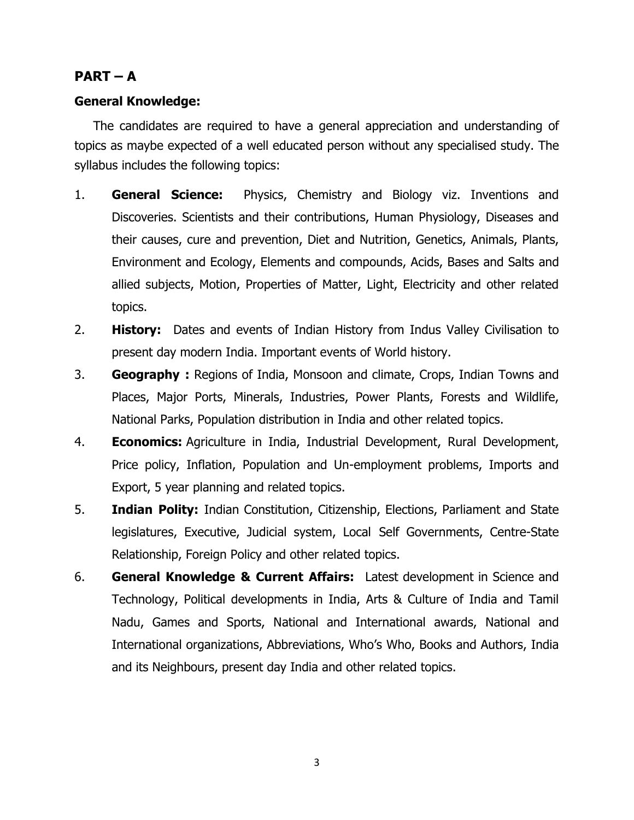# $PART - A$

### **General Knowledge:**

The candidates are required to have a general appreciation and understanding of topics as maybe expected of a well educated person without any specialised study. The syllabus includes the following topics:

- 1. **General Science:** Physics, Chemistry and Biology viz. Inventions and Discoveries. Scientists and their contributions, Human Physiology, Diseases and their causes, cure and prevention, Diet and Nutrition, Genetics, Animals, Plants, Environment and Ecology, Elements and compounds, Acids, Bases and Salts and allied subjects, Motion, Properties of Matter, Light, Electricity and other related topics.
- 2. **History:** Dates and events of Indian History from Indus Valley Civilisation to present day modern India. Important events of World history.
- 3. **Geography :** Regions of India, Monsoon and climate, Crops, Indian Towns and Places, Major Ports, Minerals, Industries, Power Plants, Forests and Wildlife, National Parks, Population distribution in India and other related topics.
- 4. **Economics:** Agriculture in India, Industrial Development, Rural Development, Price policy, Inflation, Population and Un-employment problems, Imports and Export, 5 year planning and related topics.
- 5. **Indian Polity:** Indian Constitution, Citizenship, Elections, Parliament and State legislatures, Executive, Judicial system, Local Self Governments, Centre-State Relationship, Foreign Policy and other related topics.
- 6. **General Knowledge & Current Affairs:** Latest development in Science and Technology, Political developments in India, Arts & Culture of India and Tamil Nadu, Games and Sports, National and International awards, National and International organizations, Abbreviations, Who's Who, Books and Authors, India and its Neighbours, present day India and other related topics.